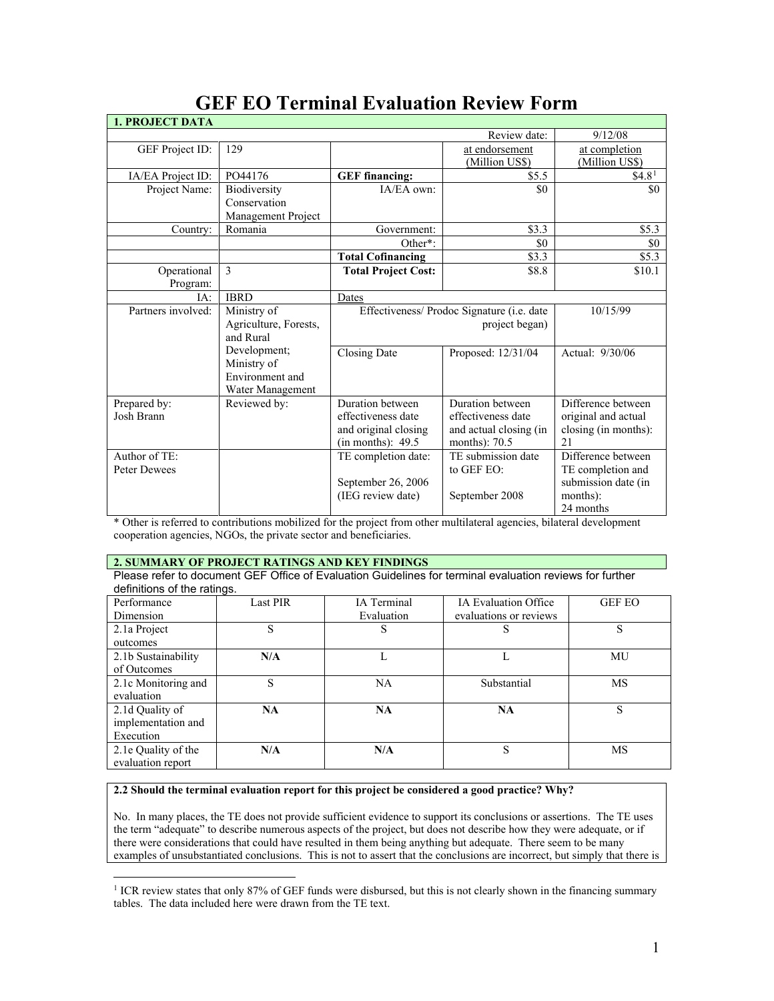| <b>GEF EO Terminal Evaluation Review Form</b> |  |
|-----------------------------------------------|--|
|-----------------------------------------------|--|

| <b>1. PROJECT DATA</b> |                       |                                                    |                                  |                                 |
|------------------------|-----------------------|----------------------------------------------------|----------------------------------|---------------------------------|
|                        |                       |                                                    | Review date:                     | 9/12/08                         |
| <b>GEF</b> Project ID: | 129                   |                                                    | at endorsement<br>(Million US\$) | at completion<br>(Million US\$) |
| IA/EA Project ID:      | PO44176               | <b>GEF</b> financing:                              | \$5.5                            | \$4.8 <sup>1</sup>              |
| Project Name:          | Biodiversity          | IA/EA own:                                         | \$0                              | \$0                             |
|                        | Conservation          |                                                    |                                  |                                 |
|                        | Management Project    |                                                    |                                  |                                 |
| Country:               | Romania               | Government:                                        | \$3.3                            | \$5.3                           |
|                        |                       | Other*:                                            | \$0                              | \$0                             |
|                        |                       | <b>Total Cofinancing</b>                           | \$3.3                            | \$5.3                           |
| Operational            | 3                     | <b>Total Project Cost:</b>                         | \$8.8                            | \$10.1                          |
| Program:               |                       |                                                    |                                  |                                 |
| IA:                    | <b>IBRD</b>           | Dates                                              |                                  |                                 |
| Partners involved:     | Ministry of           | Effectiveness/ Prodoc Signature ( <i>i.e.</i> date |                                  | 10/15/99                        |
|                        | Agriculture, Forests, |                                                    | project began)                   |                                 |
|                        | and Rural             |                                                    |                                  |                                 |
|                        | Development;          | <b>Closing Date</b>                                | Proposed: 12/31/04               | Actual: 9/30/06                 |
|                        | Ministry of           |                                                    |                                  |                                 |
|                        | Environment and       |                                                    |                                  |                                 |
|                        | Water Management      |                                                    |                                  |                                 |
| Prepared by:           | Reviewed by:          | Duration between                                   | Duration between                 | Difference between              |
| Josh Brann             |                       | effectiveness date                                 | effectiveness date               | original and actual             |
|                        |                       | and original closing                               | and actual closing (in           | closing (in months):            |
|                        |                       | (in months): 49.5                                  | months): 70.5                    | 2.1                             |
| Author of TE:          |                       | TE completion date:                                | TE submission date               | Difference between              |
| <b>Peter Dewees</b>    |                       |                                                    | to GEF EO:                       | TE completion and               |
|                        |                       | September 26, 2006                                 |                                  | submission date (in             |
|                        |                       | (IEG review date)                                  | September 2008                   | months):                        |
|                        |                       |                                                    |                                  | 24 months                       |

\* Other is referred to contributions mobilized for the project from other multilateral agencies, bilateral development cooperation agencies, NGOs, the private sector and beneficiaries.

## **2. SUMMARY OF PROJECT RATINGS AND KEY FINDINGS**

 $\overline{a}$ 

Please refer to document GEF Office of Evaluation Guidelines for terminal evaluation reviews for further definitions of the ratings.

| Performance<br>Dimension                           | <b>Last PIR</b> | <b>IA</b> Terminal<br>Evaluation | <b>IA Evaluation Office</b><br>evaluations or reviews | <b>GEF EO</b> |
|----------------------------------------------------|-----------------|----------------------------------|-------------------------------------------------------|---------------|
| 2.1a Project<br>outcomes                           | S               | S                                | S                                                     | S             |
| 2.1b Sustainability<br>of Outcomes                 | N/A             |                                  |                                                       | MU            |
| 2.1c Monitoring and<br>evaluation                  | S               | <b>NA</b>                        | Substantial                                           | MS            |
| 2.1d Quality of<br>implementation and<br>Execution | <b>NA</b>       | NA                               | <b>NA</b>                                             | S             |
| 2.1e Quality of the<br>evaluation report           | N/A             | N/A                              | S                                                     | MS            |

# **2.2 Should the terminal evaluation report for this project be considered a good practice? Why?**

No. In many places, the TE does not provide sufficient evidence to support its conclusions or assertions. The TE uses the term "adequate" to describe numerous aspects of the project, but does not describe how they were adequate, or if there were considerations that could have resulted in them being anything but adequate. There seem to be many examples of unsubstantiated conclusions. This is not to assert that the conclusions are incorrect, but simply that there is

<span id="page-0-0"></span><sup>&</sup>lt;sup>1</sup> ICR review states that only 87% of GEF funds were disbursed, but this is not clearly shown in the financing summary tables. The data included here were drawn from the TE text.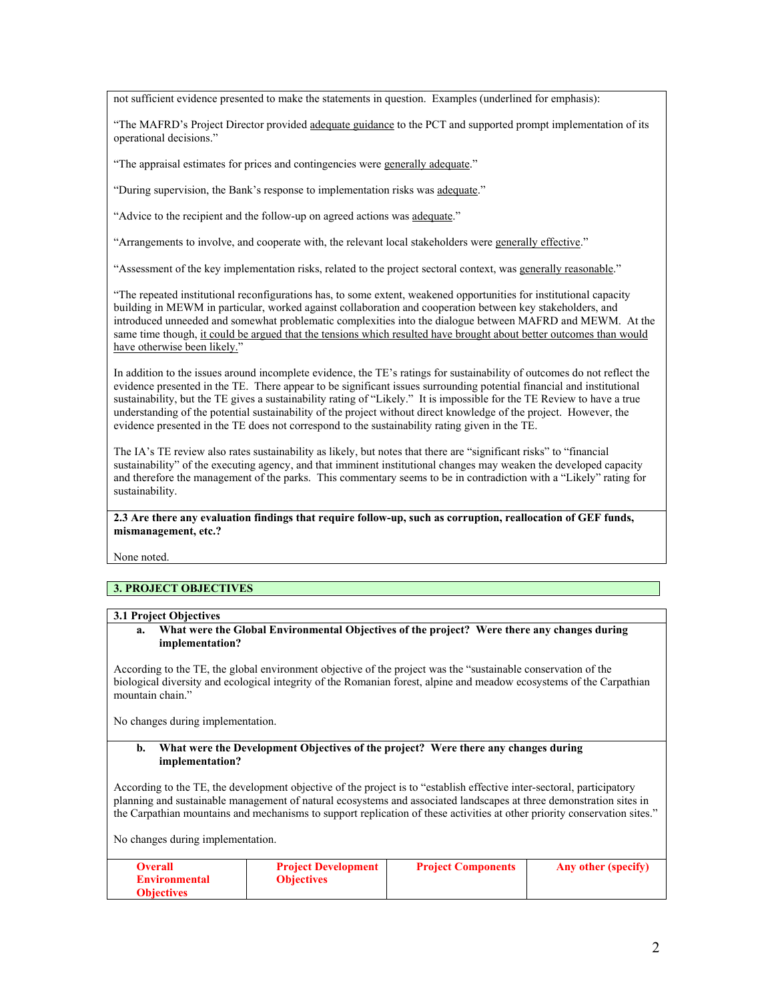not sufficient evidence presented to make the statements in question. Examples (underlined for emphasis):

"The MAFRD's Project Director provided adequate guidance to the PCT and supported prompt implementation of its operational decisions."

"The appraisal estimates for prices and contingencies were generally adequate."

"During supervision, the Bank's response to implementation risks was adequate."

"Advice to the recipient and the follow-up on agreed actions was adequate."

"Arrangements to involve, and cooperate with, the relevant local stakeholders were generally effective."

"Assessment of the key implementation risks, related to the project sectoral context, was generally reasonable."

"The repeated institutional reconfigurations has, to some extent, weakened opportunities for institutional capacity building in MEWM in particular, worked against collaboration and cooperation between key stakeholders, and introduced unneeded and somewhat problematic complexities into the dialogue between MAFRD and MEWM. At the same time though, it could be argued that the tensions which resulted have brought about better outcomes than would have otherwise been likely."

In addition to the issues around incomplete evidence, the TE's ratings for sustainability of outcomes do not reflect the evidence presented in the TE. There appear to be significant issues surrounding potential financial and institutional sustainability, but the TE gives a sustainability rating of "Likely." It is impossible for the TE Review to have a true understanding of the potential sustainability of the project without direct knowledge of the project. However, the evidence presented in the TE does not correspond to the sustainability rating given in the TE.

The IA's TE review also rates sustainability as likely, but notes that there are "significant risks" to "financial sustainability" of the executing agency, and that imminent institutional changes may weaken the developed capacity and therefore the management of the parks. This commentary seems to be in contradiction with a "Likely" rating for sustainability.

**2.3 Are there any evaluation findings that require follow-up, such as corruption, reallocation of GEF funds, mismanagement, etc.?** 

None noted.

# **3. PROJECT OBJECTIVES**

#### **3.1 Project Objectives**

**a. What were the Global Environmental Objectives of the project? Were there any changes during implementation?** 

According to the TE, the global environment objective of the project was the "sustainable conservation of the biological diversity and ecological integrity of the Romanian forest, alpine and meadow ecosystems of the Carpathian mountain chain."

No changes during implementation.

#### **b. What were the Development Objectives of the project? Were there any changes during implementation?**

According to the TE, the development objective of the project is to "establish effective inter-sectoral, participatory planning and sustainable management of natural ecosystems and associated landscapes at three demonstration sites in the Carpathian mountains and mechanisms to support replication of these activities at other priority conservation sites."

No changes during implementation.

| <b>Overall</b><br><b>Environmental</b> | <b>Project Development</b><br><b>Objectives</b> | <b>Project Components</b> | Any other (specify) |
|----------------------------------------|-------------------------------------------------|---------------------------|---------------------|
| <b>Objectives</b>                      |                                                 |                           |                     |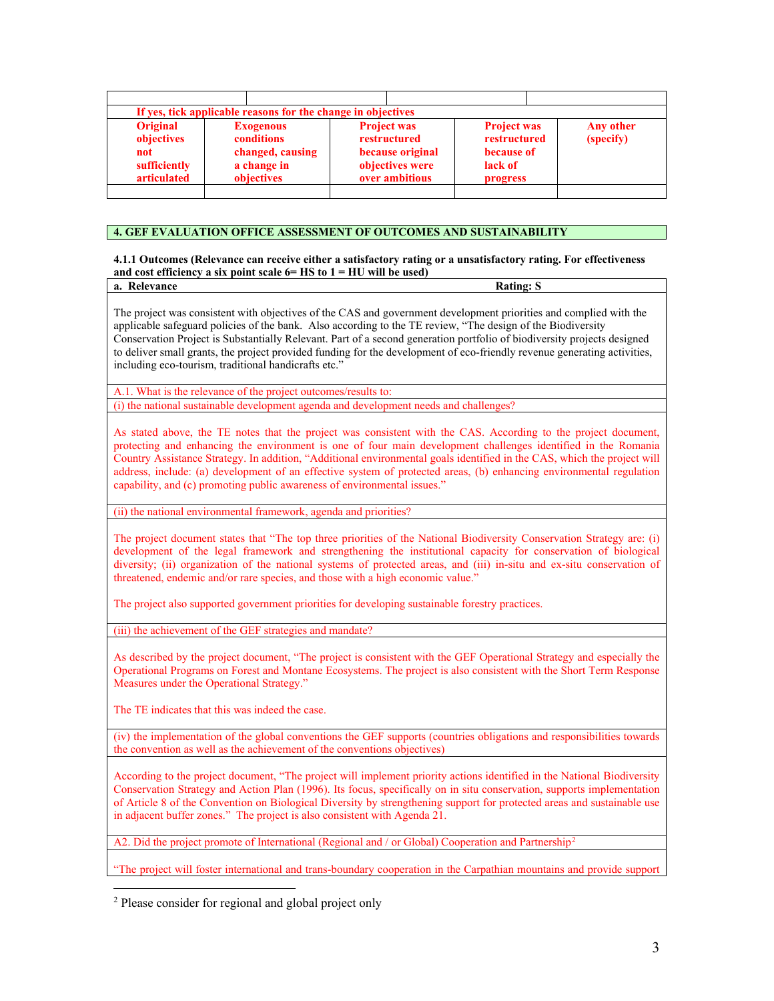| If yes, tick applicable reasons for the change in objectives<br><b>Original</b><br><b>Project was</b><br><b>Project was</b><br><b>Exogenous</b><br>restructured<br>(specify)<br>objectives<br>conditions<br>restructured<br>because original<br>changed, causing<br>because of<br>not<br>lack of |              |             |                 |           |
|--------------------------------------------------------------------------------------------------------------------------------------------------------------------------------------------------------------------------------------------------------------------------------------------------|--------------|-------------|-----------------|-----------|
|                                                                                                                                                                                                                                                                                                  |              |             |                 |           |
| over ambitious<br>articulated<br>objectives<br>progress                                                                                                                                                                                                                                          | sufficiently | a change in | objectives were | Any other |

## **4. GEF EVALUATION OFFICE ASSESSMENT OF OUTCOMES AND SUSTAINABILITY**

### **4.1.1 Outcomes (Relevance can receive either a satisfactory rating or a unsatisfactory rating. For effectiveness and cost efficiency a six point scale 6= HS to 1 = HU will be used)**

| a. Relevance                                                                                                             | <b>Rating: S</b> |
|--------------------------------------------------------------------------------------------------------------------------|------------------|
|                                                                                                                          |                  |
| The project was consistent with objectives of the CAS and government development priorities and complied with the        |                  |
| applicable safeguard policies of the bank. Also according to the TE review, "The design of the Biodiversity"             |                  |
| Conservation Project is Substantially Relevant. Part of a second generation portfolio of biodiversity projects designed  |                  |
| to deliver small grants, the project provided funding for the development of eco-friendly revenue generating activities, |                  |

including eco-tourism, traditional handicrafts etc."

A.1. What is the relevance of the project outcomes/results to: (i) the national sustainable development agenda and development needs and challenges?

As stated above, the TE notes that the project was consistent with the CAS. According to the project document, protecting and enhancing the environment is one of four main development challenges identified in the Romania Country Assistance Strategy. In addition, "Additional environmental goals identified in the CAS, which the project will address, include: (a) development of an effective system of protected areas, (b) enhancing environmental regulation capability, and (c) promoting public awareness of environmental issues."

(ii) the national environmental framework, agenda and priorities?

The project document states that "The top three priorities of the National Biodiversity Conservation Strategy are: (i) development of the legal framework and strengthening the institutional capacity for conservation of biological diversity; (ii) organization of the national systems of protected areas, and (iii) in-situ and ex-situ conservation of threatened, endemic and/or rare species, and those with a high economic value."

The project also supported government priorities for developing sustainable forestry practices.

(iii) the achievement of the GEF strategies and mandate?

As described by the project document, "The project is consistent with the GEF Operational Strategy and especially the Operational Programs on Forest and Montane Ecosystems. The project is also consistent with the Short Term Response Measures under the Operational Strategy."

The TE indicates that this was indeed the case.

(iv) the implementation of the global conventions the GEF supports (countries obligations and responsibilities towards the convention as well as the achievement of the conventions objectives)

According to the project document, "The project will implement priority actions identified in the National Biodiversity Conservation Strategy and Action Plan (1996). Its focus, specifically on in situ conservation, supports implementation of Article 8 of the Convention on Biological Diversity by strengthening support for protected areas and sustainable use in adjacent buffer zones." The project is also consistent with Agenda 21.

A[2](#page-2-0). Did the project promote of International (Regional and / or Global) Cooperation and Partnership<sup>2</sup>

"The project will foster international and trans-boundary cooperation in the Carpathian mountains and provide support

<span id="page-2-0"></span> $\overline{a}$ <sup>2</sup> Please consider for regional and global project only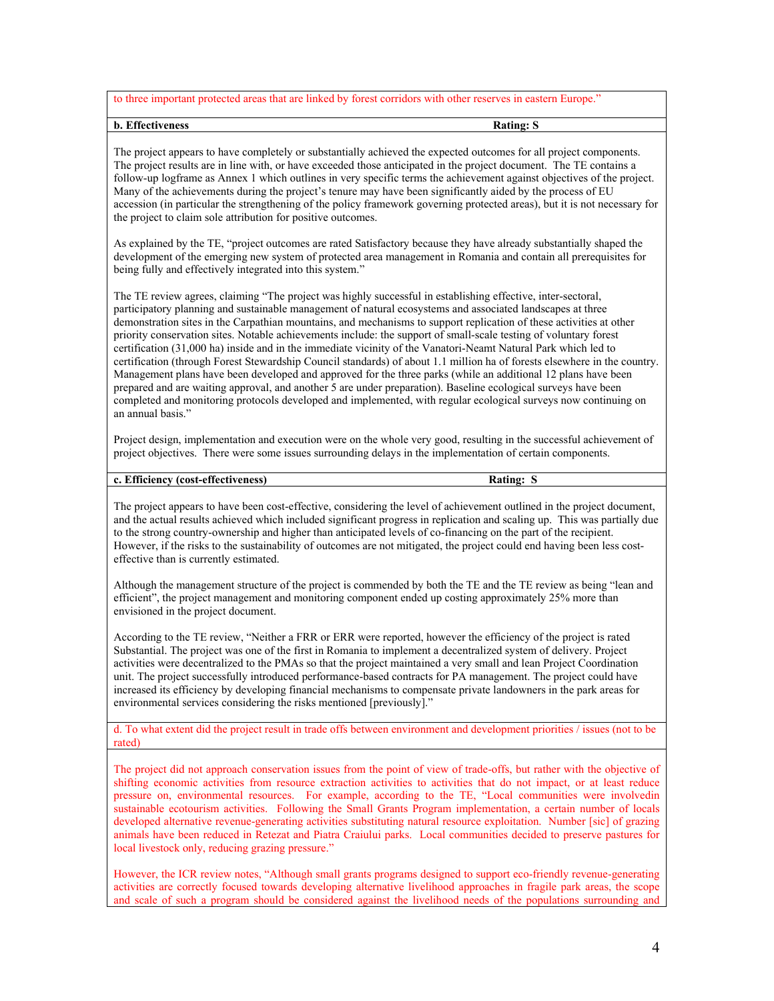to three important protected areas that are linked by forest corridors with other reserves in eastern Europe."

### **b.** Effectiveness Rating: S

The project appears to have completely or substantially achieved the expected outcomes for all project components. The project results are in line with, or have exceeded those anticipated in the project document. The TE contains a follow-up logframe as Annex 1 which outlines in very specific terms the achievement against objectives of the project. Many of the achievements during the project's tenure may have been significantly aided by the process of EU accession (in particular the strengthening of the policy framework governing protected areas), but it is not necessary for the project to claim sole attribution for positive outcomes.

As explained by the TE, "project outcomes are rated Satisfactory because they have already substantially shaped the development of the emerging new system of protected area management in Romania and contain all prerequisites for being fully and effectively integrated into this system."

The TE review agrees, claiming "The project was highly successful in establishing effective, inter-sectoral, participatory planning and sustainable management of natural ecosystems and associated landscapes at three demonstration sites in the Carpathian mountains, and mechanisms to support replication of these activities at other priority conservation sites. Notable achievements include: the support of small-scale testing of voluntary forest certification (31,000 ha) inside and in the immediate vicinity of the Vanatori-Neamt Natural Park which led to certification (through Forest Stewardship Council standards) of about 1.1 million ha of forests elsewhere in the country. Management plans have been developed and approved for the three parks (while an additional 12 plans have been prepared and are waiting approval, and another 5 are under preparation). Baseline ecological surveys have been completed and monitoring protocols developed and implemented, with regular ecological surveys now continuing on an annual basis."

Project design, implementation and execution were on the whole very good, resulting in the successful achievement of project objectives. There were some issues surrounding delays in the implementation of certain components.

## **c. Efficiency (cost-effectiveness) Rating: S**

The project appears to have been cost-effective, considering the level of achievement outlined in the project document, and the actual results achieved which included significant progress in replication and scaling up. This was partially due to the strong country-ownership and higher than anticipated levels of co-financing on the part of the recipient. However, if the risks to the sustainability of outcomes are not mitigated, the project could end having been less costeffective than is currently estimated.

Although the management structure of the project is commended by both the TE and the TE review as being "lean and efficient", the project management and monitoring component ended up costing approximately 25% more than envisioned in the project document.

According to the TE review, "Neither a FRR or ERR were reported, however the efficiency of the project is rated Substantial. The project was one of the first in Romania to implement a decentralized system of delivery. Project activities were decentralized to the PMAs so that the project maintained a very small and lean Project Coordination unit. The project successfully introduced performance-based contracts for PA management. The project could have increased its efficiency by developing financial mechanisms to compensate private landowners in the park areas for environmental services considering the risks mentioned [previously]."

d. To what extent did the project result in trade offs between environment and development priorities / issues (not to be rated)

The project did not approach conservation issues from the point of view of trade-offs, but rather with the objective of shifting economic activities from resource extraction activities to activities that do not impact, or at least reduce pressure on, environmental resources. For example, according to the TE, "Local communities were involvedin sustainable ecotourism activities. Following the Small Grants Program implementation, a certain number of locals developed alternative revenue-generating activities substituting natural resource exploitation. Number [sic] of grazing animals have been reduced in Retezat and Piatra Craiului parks. Local communities decided to preserve pastures for local livestock only, reducing grazing pressure."

However, the ICR review notes, "Although small grants programs designed to support eco-friendly revenue-generating activities are correctly focused towards developing alternative livelihood approaches in fragile park areas, the scope and scale of such a program should be considered against the livelihood needs of the populations surrounding and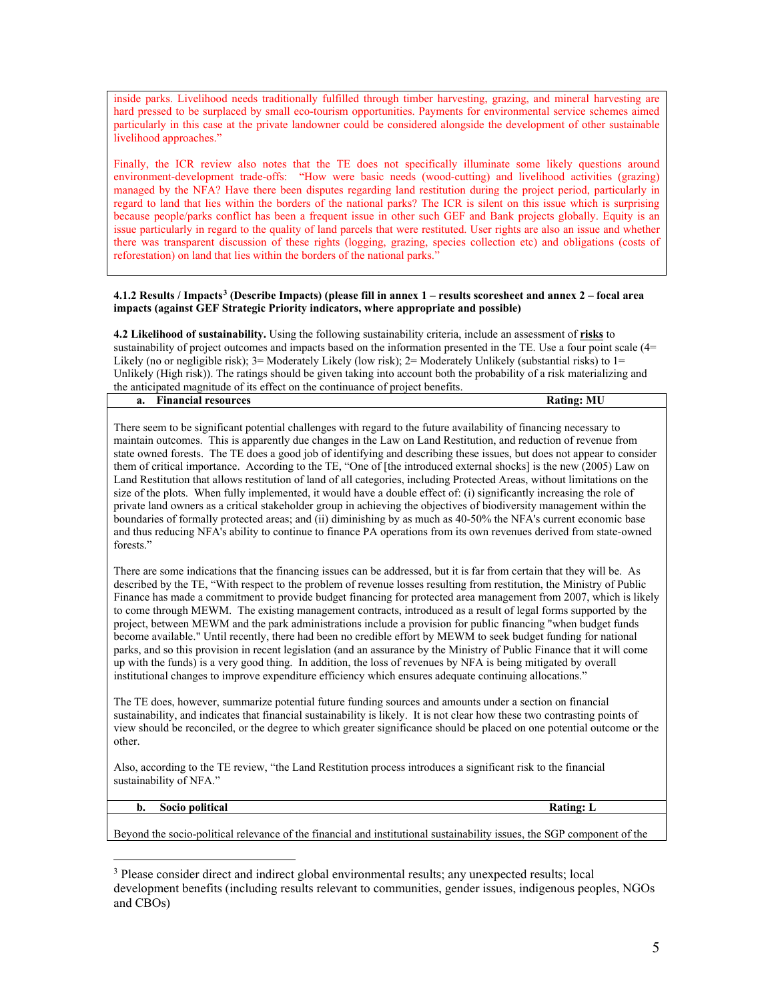inside parks. Livelihood needs traditionally fulfilled through timber harvesting, grazing, and mineral harvesting are hard pressed to be surplaced by small eco-tourism opportunities. Payments for environmental service schemes aimed particularly in this case at the private landowner could be considered alongside the development of other sustainable livelihood approaches."

Finally, the ICR review also notes that the TE does not specifically illuminate some likely questions around environment-development trade-offs: "How were basic needs (wood-cutting) and livelihood activities (grazing) managed by the NFA? Have there been disputes regarding land restitution during the project period, particularly in regard to land that lies within the borders of the national parks? The ICR is silent on this issue which is surprising because people/parks conflict has been a frequent issue in other such GEF and Bank projects globally. Equity is an issue particularly in regard to the quality of land parcels that were restituted. User rights are also an issue and whether there was transparent discussion of these rights (logging, grazing, species collection etc) and obligations (costs of reforestation) on land that lies within the borders of the national parks."

#### **4.1.2 Results / Impacts[3](#page-4-0) (Describe Impacts) (please fill in annex 1 – results scoresheet and annex 2 – focal area impacts (against GEF Strategic Priority indicators, where appropriate and possible)**

**4.2 Likelihood of sustainability.** Using the following sustainability criteria, include an assessment of **risks** to sustainability of project outcomes and impacts based on the information presented in the TE. Use a four point scale (4= Likely (no or negligible risk); 3= Moderately Likely (low risk); 2= Moderately Unlikely (substantial risks) to 1= Unlikely (High risk)). The ratings should be given taking into account both the probability of a risk materializing and the anticipated magnitude of its effect on the continuance of project benefits.

| a. | $\cdots$<br>Financial<br>resources |  | MF<br><b>AAGGAA</b> |
|----|------------------------------------|--|---------------------|
|    |                                    |  |                     |

There seem to be significant potential challenges with regard to the future availability of financing necessary to maintain outcomes. This is apparently due changes in the Law on Land Restitution, and reduction of revenue from state owned forests. The TE does a good job of identifying and describing these issues, but does not appear to consider them of critical importance. According to the TE, "One of [the introduced external shocks] is the new (2005) Law on Land Restitution that allows restitution of land of all categories, including Protected Areas, without limitations on the size of the plots. When fully implemented, it would have a double effect of: (i) significantly increasing the role of private land owners as a critical stakeholder group in achieving the objectives of biodiversity management within the boundaries of formally protected areas; and (ii) diminishing by as much as 40-50% the NFA's current economic base and thus reducing NFA's ability to continue to finance PA operations from its own revenues derived from state-owned forests."

There are some indications that the financing issues can be addressed, but it is far from certain that they will be. As described by the TE, "With respect to the problem of revenue losses resulting from restitution, the Ministry of Public Finance has made a commitment to provide budget financing for protected area management from 2007, which is likely to come through MEWM. The existing management contracts, introduced as a result of legal forms supported by the project, between MEWM and the park administrations include a provision for public financing "when budget funds become available." Until recently, there had been no credible effort by MEWM to seek budget funding for national parks, and so this provision in recent legislation (and an assurance by the Ministry of Public Finance that it will come up with the funds) is a very good thing. In addition, the loss of revenues by NFA is being mitigated by overall institutional changes to improve expenditure efficiency which ensures adequate continuing allocations."

The TE does, however, summarize potential future funding sources and amounts under a section on financial sustainability, and indicates that financial sustainability is likely. It is not clear how these two contrasting points of view should be reconciled, or the degree to which greater significance should be placed on one potential outcome or the other.

Also, according to the TE review, "the Land Restitution process introduces a significant risk to the financial sustainability of NFA."

**b.** Socio political **Rating:** L

 $\overline{a}$ 

Beyond the socio-political relevance of the financial and institutional sustainability issues, the SGP component of the

<span id="page-4-0"></span><sup>&</sup>lt;sup>3</sup> Please consider direct and indirect global environmental results; any unexpected results; local development benefits (including results relevant to communities, gender issues, indigenous peoples, NGOs and CBOs)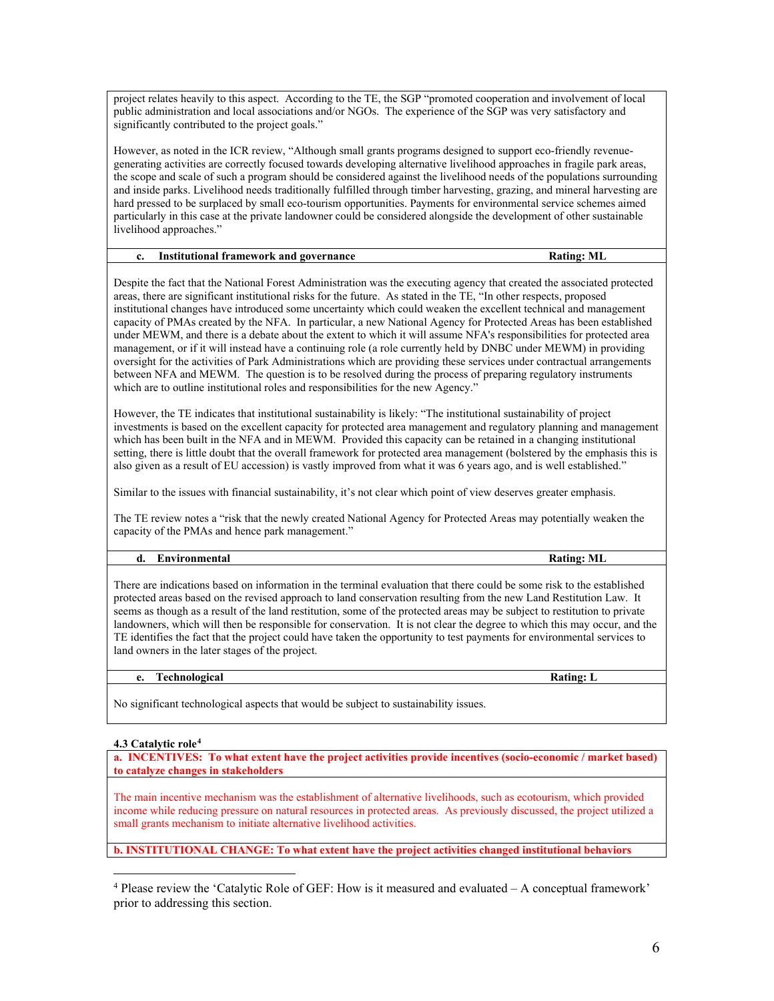project relates heavily to this aspect. According to the TE, the SGP "promoted cooperation and involvement of local public administration and local associations and/or NGOs. The experience of the SGP was very satisfactory and significantly contributed to the project goals."

However, as noted in the ICR review, "Although small grants programs designed to support eco-friendly revenuegenerating activities are correctly focused towards developing alternative livelihood approaches in fragile park areas, the scope and scale of such a program should be considered against the livelihood needs of the populations surrounding and inside parks. Livelihood needs traditionally fulfilled through timber harvesting, grazing, and mineral harvesting are hard pressed to be surplaced by small eco-tourism opportunities. Payments for environmental service schemes aimed particularly in this case at the private landowner could be considered alongside the development of other sustainable livelihood approaches."

| Institutional framework and governance | <b>Rating: ML</b> |
|----------------------------------------|-------------------|
|                                        |                   |

Despite the fact that the National Forest Administration was the executing agency that created the associated protected areas, there are significant institutional risks for the future. As stated in the TE, "In other respects, proposed institutional changes have introduced some uncertainty which could weaken the excellent technical and management capacity of PMAs created by the NFA. In particular, a new National Agency for Protected Areas has been established under MEWM, and there is a debate about the extent to which it will assume NFA's responsibilities for protected area management, or if it will instead have a continuing role (a role currently held by DNBC under MEWM) in providing oversight for the activities of Park Administrations which are providing these services under contractual arrangements between NFA and MEWM. The question is to be resolved during the process of preparing regulatory instruments which are to outline institutional roles and responsibilities for the new Agency."

However, the TE indicates that institutional sustainability is likely: "The institutional sustainability of project investments is based on the excellent capacity for protected area management and regulatory planning and management which has been built in the NFA and in MEWM. Provided this capacity can be retained in a changing institutional setting, there is little doubt that the overall framework for protected area management (bolstered by the emphasis this is also given as a result of EU accession) is vastly improved from what it was 6 years ago, and is well established."

Similar to the issues with financial sustainability, it's not clear which point of view deserves greater emphasis.

The TE review notes a "risk that the newly created National Agency for Protected Areas may potentially weaken the capacity of the PMAs and hence park management."

# **d. Environmental Rating: ML**

There are indications based on information in the terminal evaluation that there could be some risk to the established protected areas based on the revised approach to land conservation resulting from the new Land Restitution Law. It seems as though as a result of the land restitution, some of the protected areas may be subject to restitution to private landowners, which will then be responsible for conservation. It is not clear the degree to which this may occur, and the TE identifies the fact that the project could have taken the opportunity to test payments for environmental services to land owners in the later stages of the project.

# **e.** Technological Rating: L

No significant technological aspects that would be subject to sustainability issues.

# **4.3 Catalytic role[4](#page-5-0)**

**a. INCENTIVES: To what extent have the project activities provide incentives (socio-economic / market based) to catalyze changes in stakeholders** 

The main incentive mechanism was the establishment of alternative livelihoods, such as ecotourism, which provided income while reducing pressure on natural resources in protected areas. As previously discussed, the project utilized a small grants mechanism to initiate alternative livelihood activities.

**b. INSTITUTIONAL CHANGE: To what extent have the project activities changed institutional behaviors** 

<span id="page-5-0"></span> $\overline{a}$ <sup>4</sup> Please review the 'Catalytic Role of GEF: How is it measured and evaluated – A conceptual framework' prior to addressing this section.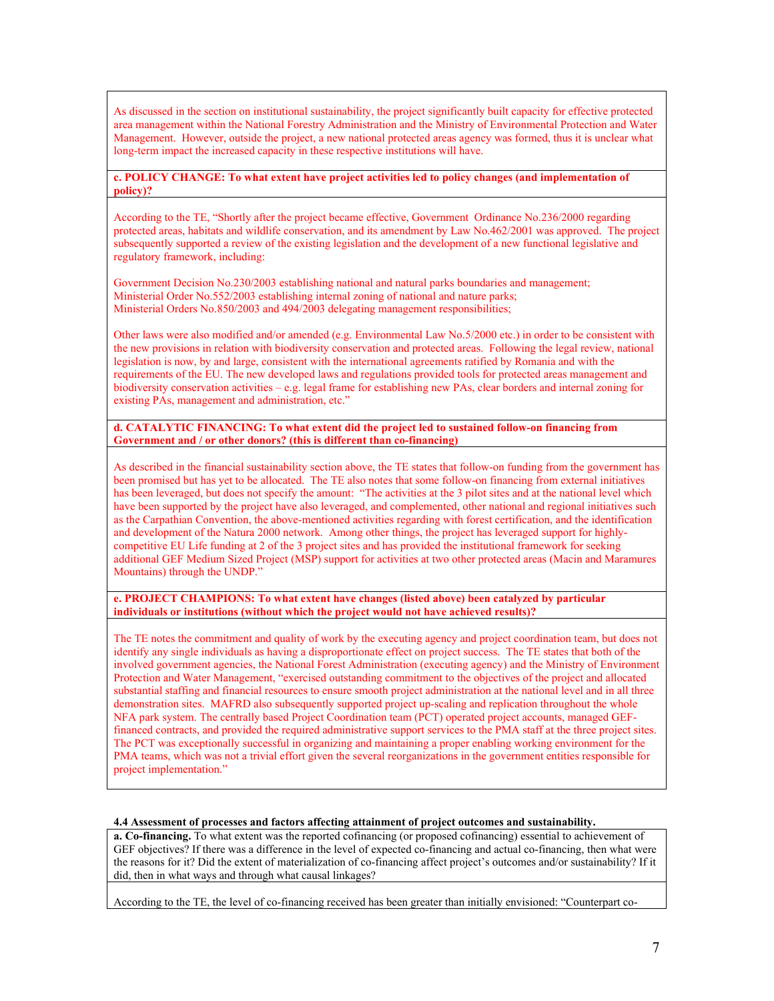As discussed in the section on institutional sustainability, the project significantly built capacity for effective protected area management within the National Forestry Administration and the Ministry of Environmental Protection and Water Management. However, outside the project, a new national protected areas agency was formed, thus it is unclear what long-term impact the increased capacity in these respective institutions will have.

### **c. POLICY CHANGE: To what extent have project activities led to policy changes (and implementation of policy)?**

According to the TE, "Shortly after the project became effective, Government Ordinance No.236/2000 regarding protected areas, habitats and wildlife conservation, and its amendment by Law No.462/2001 was approved. The project subsequently supported a review of the existing legislation and the development of a new functional legislative and regulatory framework, including:

Government Decision No.230/2003 establishing national and natural parks boundaries and management; Ministerial Order No.552/2003 establishing internal zoning of national and nature parks; Ministerial Orders No.850/2003 and 494/2003 delegating management responsibilities;

Other laws were also modified and/or amended (e.g. Environmental Law No.5/2000 etc.) in order to be consistent with the new provisions in relation with biodiversity conservation and protected areas. Following the legal review, national legislation is now, by and large, consistent with the international agreements ratified by Romania and with the requirements of the EU. The new developed laws and regulations provided tools for protected areas management and biodiversity conservation activities – e.g. legal frame for establishing new PAs, clear borders and internal zoning for existing PAs, management and administration, etc."

### **d. CATALYTIC FINANCING: To what extent did the project led to sustained follow-on financing from Government and / or other donors? (this is different than co-financing)**

As described in the financial sustainability section above, the TE states that follow-on funding from the government has been promised but has yet to be allocated. The TE also notes that some follow-on financing from external initiatives has been leveraged, but does not specify the amount: "The activities at the 3 pilot sites and at the national level which have been supported by the project have also leveraged, and complemented, other national and regional initiatives such as the Carpathian Convention, the above-mentioned activities regarding with forest certification, and the identification and development of the Natura 2000 network. Among other things, the project has leveraged support for highlycompetitive EU Life funding at 2 of the 3 project sites and has provided the institutional framework for seeking additional GEF Medium Sized Project (MSP) support for activities at two other protected areas (Macin and Maramures Mountains) through the UNDP."

#### **e. PROJECT CHAMPIONS: To what extent have changes (listed above) been catalyzed by particular individuals or institutions (without which the project would not have achieved results)?**

The TE notes the commitment and quality of work by the executing agency and project coordination team, but does not identify any single individuals as having a disproportionate effect on project success. The TE states that both of the involved government agencies, the National Forest Administration (executing agency) and the Ministry of Environment Protection and Water Management, "exercised outstanding commitment to the objectives of the project and allocated substantial staffing and financial resources to ensure smooth project administration at the national level and in all three demonstration sites. MAFRD also subsequently supported project up-scaling and replication throughout the whole NFA park system. The centrally based Project Coordination team (PCT) operated project accounts, managed GEFfinanced contracts, and provided the required administrative support services to the PMA staff at the three project sites. The PCT was exceptionally successful in organizing and maintaining a proper enabling working environment for the PMA teams, which was not a trivial effort given the several reorganizations in the government entities responsible for project implementation."

## **4.4 Assessment of processes and factors affecting attainment of project outcomes and sustainability.**

**a. Co-financing.** To what extent was the reported cofinancing (or proposed cofinancing) essential to achievement of GEF objectives? If there was a difference in the level of expected co-financing and actual co-financing, then what were the reasons for it? Did the extent of materialization of co-financing affect project's outcomes and/or sustainability? If it did, then in what ways and through what causal linkages?

According to the TE, the level of co-financing received has been greater than initially envisioned: "Counterpart co-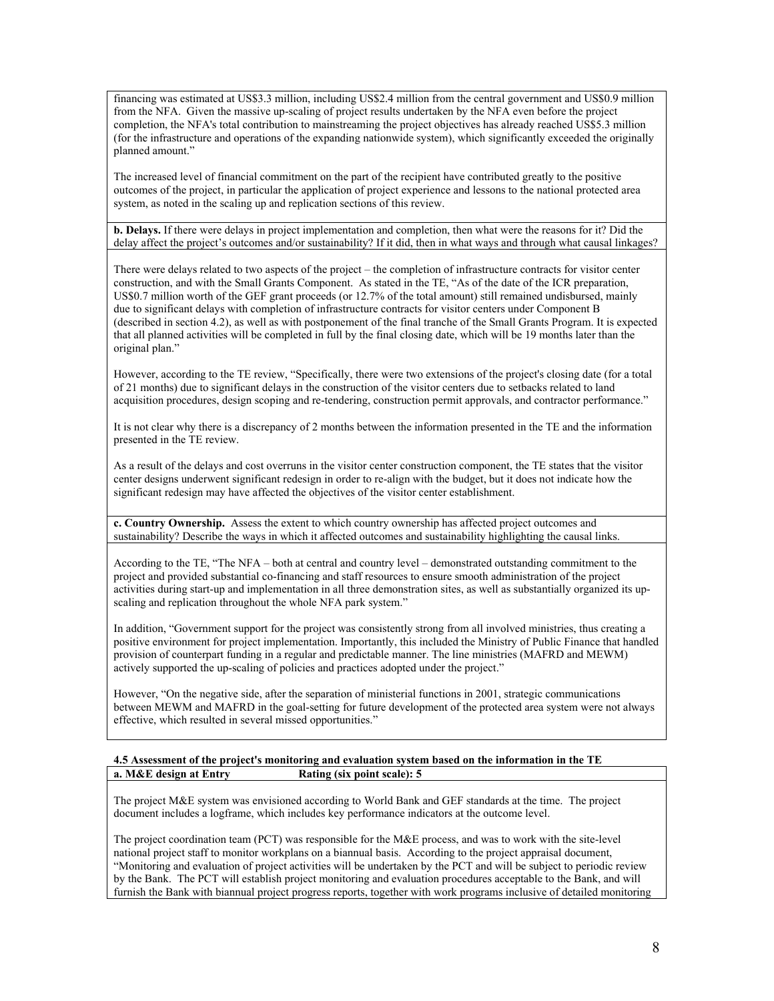financing was estimated at US\$3.3 million, including US\$2.4 million from the central government and US\$0.9 million from the NFA. Given the massive up-scaling of project results undertaken by the NFA even before the project completion, the NFA's total contribution to mainstreaming the project objectives has already reached US\$5.3 million (for the infrastructure and operations of the expanding nationwide system), which significantly exceeded the originally planned amount."

The increased level of financial commitment on the part of the recipient have contributed greatly to the positive outcomes of the project, in particular the application of project experience and lessons to the national protected area system, as noted in the scaling up and replication sections of this review.

**b. Delays.** If there were delays in project implementation and completion, then what were the reasons for it? Did the delay affect the project's outcomes and/or sustainability? If it did, then in what ways and through what causal linkages?

There were delays related to two aspects of the project – the completion of infrastructure contracts for visitor center construction, and with the Small Grants Component. As stated in the TE, "As of the date of the ICR preparation, US\$0.7 million worth of the GEF grant proceeds (or 12.7% of the total amount) still remained undisbursed, mainly due to significant delays with completion of infrastructure contracts for visitor centers under Component B (described in section 4.2), as well as with postponement of the final tranche of the Small Grants Program. It is expected that all planned activities will be completed in full by the final closing date, which will be 19 months later than the original plan."

However, according to the TE review, "Specifically, there were two extensions of the project's closing date (for a total of 21 months) due to significant delays in the construction of the visitor centers due to setbacks related to land acquisition procedures, design scoping and re-tendering, construction permit approvals, and contractor performance."

It is not clear why there is a discrepancy of 2 months between the information presented in the TE and the information presented in the TE review.

As a result of the delays and cost overruns in the visitor center construction component, the TE states that the visitor center designs underwent significant redesign in order to re-align with the budget, but it does not indicate how the significant redesign may have affected the objectives of the visitor center establishment.

**c. Country Ownership.** Assess the extent to which country ownership has affected project outcomes and sustainability? Describe the ways in which it affected outcomes and sustainability highlighting the causal links.

According to the TE, "The NFA – both at central and country level – demonstrated outstanding commitment to the project and provided substantial co-financing and staff resources to ensure smooth administration of the project activities during start-up and implementation in all three demonstration sites, as well as substantially organized its upscaling and replication throughout the whole NFA park system."

In addition, "Government support for the project was consistently strong from all involved ministries, thus creating a positive environment for project implementation. Importantly, this included the Ministry of Public Finance that handled provision of counterpart funding in a regular and predictable manner. The line ministries (MAFRD and MEWM) actively supported the up-scaling of policies and practices adopted under the project."

However, "On the negative side, after the separation of ministerial functions in 2001, strategic communications between MEWM and MAFRD in the goal-setting for future development of the protected area system were not always effective, which resulted in several missed opportunities."

#### **4.5 Assessment of the project's monitoring and evaluation system based on the information in the TE a. M&E design at Entry Rating (six point scale): 5**

The project M&E system was envisioned according to World Bank and GEF standards at the time. The project document includes a logframe, which includes key performance indicators at the outcome level.

The project coordination team (PCT) was responsible for the M&E process, and was to work with the site-level national project staff to monitor workplans on a biannual basis. According to the project appraisal document, "Monitoring and evaluation of project activities will be undertaken by the PCT and will be subject to periodic review by the Bank. The PCT will establish project monitoring and evaluation procedures acceptable to the Bank, and will furnish the Bank with biannual project progress reports, together with work programs inclusive of detailed monitoring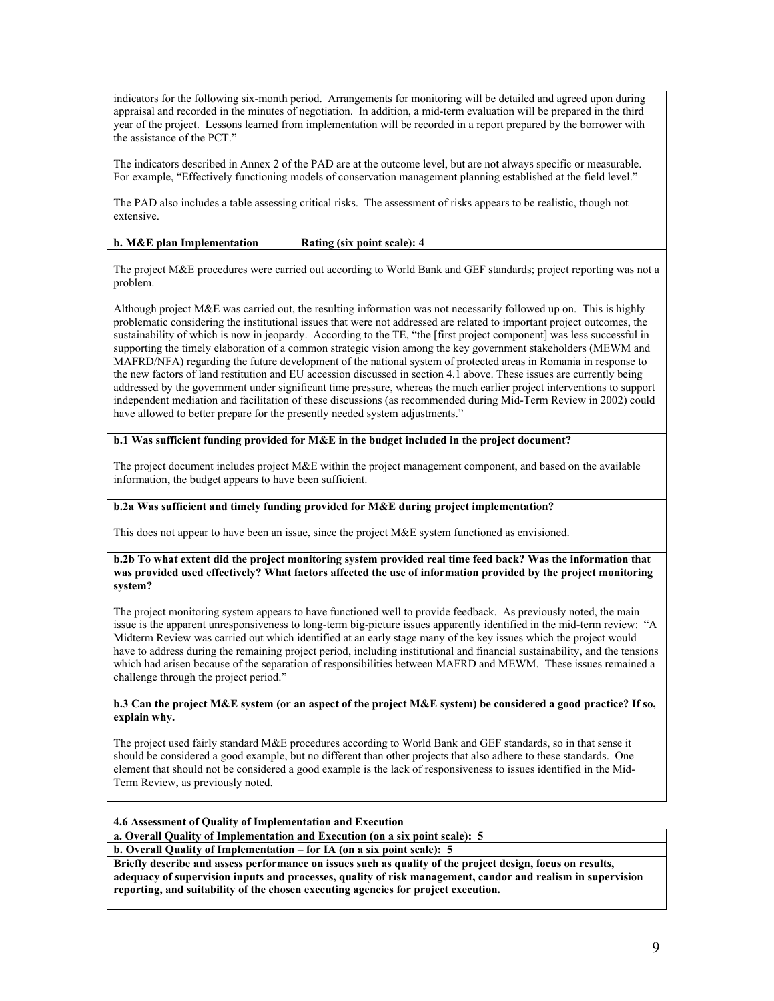indicators for the following six-month period. Arrangements for monitoring will be detailed and agreed upon during appraisal and recorded in the minutes of negotiation. In addition, a mid-term evaluation will be prepared in the third year of the project. Lessons learned from implementation will be recorded in a report prepared by the borrower with the assistance of the PCT."

The indicators described in Annex 2 of the PAD are at the outcome level, but are not always specific or measurable. For example, "Effectively functioning models of conservation management planning established at the field level."

The PAD also includes a table assessing critical risks. The assessment of risks appears to be realistic, though not extensive.

### **b. M&E plan Implementation Rating (six point scale): 4**

The project M&E procedures were carried out according to World Bank and GEF standards; project reporting was not a problem.

Although project M&E was carried out, the resulting information was not necessarily followed up on. This is highly problematic considering the institutional issues that were not addressed are related to important project outcomes, the sustainability of which is now in jeopardy. According to the TE, "the [first project component] was less successful in supporting the timely elaboration of a common strategic vision among the key government stakeholders (MEWM and MAFRD/NFA) regarding the future development of the national system of protected areas in Romania in response to the new factors of land restitution and EU accession discussed in section 4.1 above. These issues are currently being addressed by the government under significant time pressure, whereas the much earlier project interventions to support independent mediation and facilitation of these discussions (as recommended during Mid-Term Review in 2002) could have allowed to better prepare for the presently needed system adjustments."

#### **b.1 Was sufficient funding provided for M&E in the budget included in the project document?**

The project document includes project M&E within the project management component, and based on the available information, the budget appears to have been sufficient.

### **b.2a Was sufficient and timely funding provided for M&E during project implementation?**

This does not appear to have been an issue, since the project M&E system functioned as envisioned.

#### **b.2b To what extent did the project monitoring system provided real time feed back? Was the information that was provided used effectively? What factors affected the use of information provided by the project monitoring system?**

The project monitoring system appears to have functioned well to provide feedback. As previously noted, the main issue is the apparent unresponsiveness to long-term big-picture issues apparently identified in the mid-term review: "A Midterm Review was carried out which identified at an early stage many of the key issues which the project would have to address during the remaining project period, including institutional and financial sustainability, and the tensions which had arisen because of the separation of responsibilities between MAFRD and MEWM. These issues remained a challenge through the project period."

#### **b.3 Can the project M&E system (or an aspect of the project M&E system) be considered a good practice? If so, explain why.**

The project used fairly standard M&E procedures according to World Bank and GEF standards, so in that sense it should be considered a good example, but no different than other projects that also adhere to these standards. One element that should not be considered a good example is the lack of responsiveness to issues identified in the Mid-Term Review, as previously noted.

#### **4.6 Assessment of Quality of Implementation and Execution**

**a. Overall Quality of Implementation and Execution (on a six point scale): 5**

**b. Overall Quality of Implementation – for IA (on a six point scale): 5**

**Briefly describe and assess performance on issues such as quality of the project design, focus on results, adequacy of supervision inputs and processes, quality of risk management, candor and realism in supervision reporting, and suitability of the chosen executing agencies for project execution.**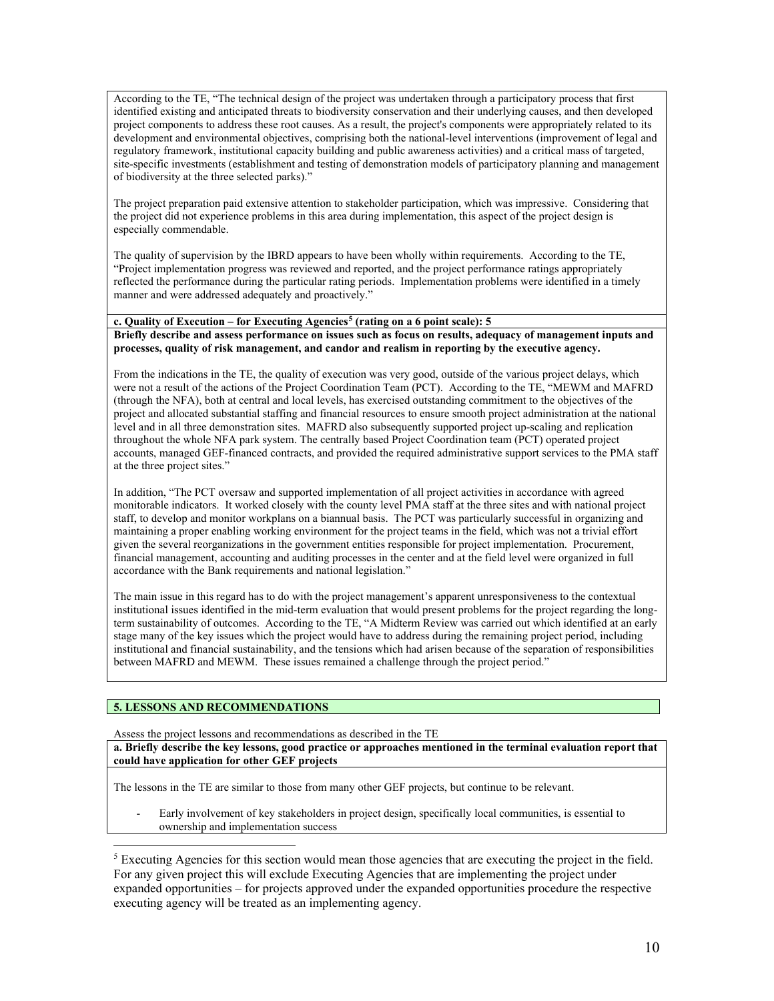According to the TE, "The technical design of the project was undertaken through a participatory process that first identified existing and anticipated threats to biodiversity conservation and their underlying causes, and then developed project components to address these root causes. As a result, the project's components were appropriately related to its development and environmental objectives, comprising both the national-level interventions (improvement of legal and regulatory framework, institutional capacity building and public awareness activities) and a critical mass of targeted, site-specific investments (establishment and testing of demonstration models of participatory planning and management of biodiversity at the three selected parks)."

The project preparation paid extensive attention to stakeholder participation, which was impressive. Considering that the project did not experience problems in this area during implementation, this aspect of the project design is especially commendable.

The quality of supervision by the IBRD appears to have been wholly within requirements. According to the TE, "Project implementation progress was reviewed and reported, and the project performance ratings appropriately reflected the performance during the particular rating periods. Implementation problems were identified in a timely manner and were addressed adequately and proactively."

# **c. Quality of Execution – for Executing Agencies[5](#page-9-0) (rating on a 6 point scale): 5**

**Briefly describe and assess performance on issues such as focus on results, adequacy of management inputs and processes, quality of risk management, and candor and realism in reporting by the executive agency.** 

From the indications in the TE, the quality of execution was very good, outside of the various project delays, which were not a result of the actions of the Project Coordination Team (PCT). According to the TE, "MEWM and MAFRD (through the NFA), both at central and local levels, has exercised outstanding commitment to the objectives of the project and allocated substantial staffing and financial resources to ensure smooth project administration at the national level and in all three demonstration sites. MAFRD also subsequently supported project up-scaling and replication throughout the whole NFA park system. The centrally based Project Coordination team (PCT) operated project accounts, managed GEF-financed contracts, and provided the required administrative support services to the PMA staff at the three project sites."

In addition, "The PCT oversaw and supported implementation of all project activities in accordance with agreed monitorable indicators. It worked closely with the county level PMA staff at the three sites and with national project staff, to develop and monitor workplans on a biannual basis. The PCT was particularly successful in organizing and maintaining a proper enabling working environment for the project teams in the field, which was not a trivial effort given the several reorganizations in the government entities responsible for project implementation. Procurement, financial management, accounting and auditing processes in the center and at the field level were organized in full accordance with the Bank requirements and national legislation."

The main issue in this regard has to do with the project management's apparent unresponsiveness to the contextual institutional issues identified in the mid-term evaluation that would present problems for the project regarding the longterm sustainability of outcomes. According to the TE, "A Midterm Review was carried out which identified at an early stage many of the key issues which the project would have to address during the remaining project period, including institutional and financial sustainability, and the tensions which had arisen because of the separation of responsibilities between MAFRD and MEWM. These issues remained a challenge through the project period."

## **5. LESSONS AND RECOMMENDATIONS**

 $\overline{a}$ 

Assess the project lessons and recommendations as described in the TE

**a. Briefly describe the key lessons, good practice or approaches mentioned in the terminal evaluation report that could have application for other GEF projects**

The lessons in the TE are similar to those from many other GEF projects, but continue to be relevant.

Early involvement of key stakeholders in project design, specifically local communities, is essential to ownership and implementation success

<span id="page-9-0"></span> $<sup>5</sup>$  Executing Agencies for this section would mean those agencies that are executing the project in the field.</sup> For any given project this will exclude Executing Agencies that are implementing the project under expanded opportunities – for projects approved under the expanded opportunities procedure the respective executing agency will be treated as an implementing agency.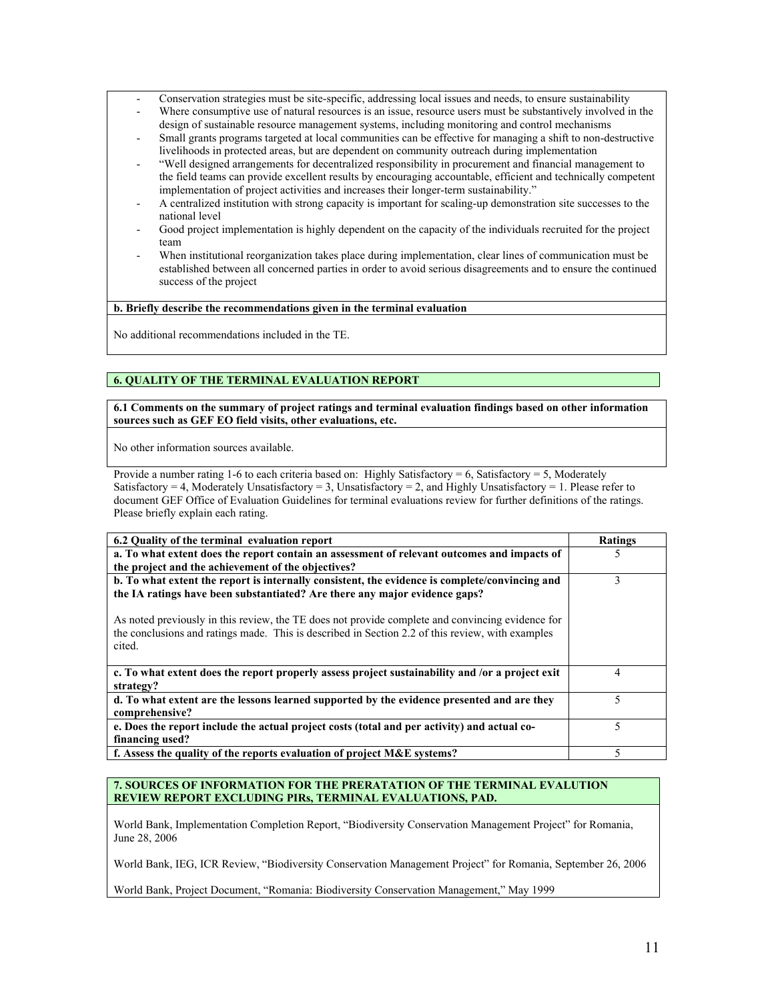- Conservation strategies must be site-specific, addressing local issues and needs, to ensure sustainability
- Where consumptive use of natural resources is an issue, resource users must be substantively involved in the design of sustainable resource management systems, including monitoring and control mechanisms
- Small grants programs targeted at local communities can be effective for managing a shift to non-destructive livelihoods in protected areas, but are dependent on community outreach during implementation
- "Well designed arrangements for decentralized responsibility in procurement and financial management to the field teams can provide excellent results by encouraging accountable, efficient and technically competent implementation of project activities and increases their longer-term sustainability."
- A centralized institution with strong capacity is important for scaling-up demonstration site successes to the national level
- Good project implementation is highly dependent on the capacity of the individuals recruited for the project team
- When institutional reorganization takes place during implementation, clear lines of communication must be established between all concerned parties in order to avoid serious disagreements and to ensure the continued success of the project

**b. Briefly describe the recommendations given in the terminal evaluation** 

No additional recommendations included in the TE.

# **6. QUALITY OF THE TERMINAL EVALUATION REPORT**

**6.1 Comments on the summary of project ratings and terminal evaluation findings based on other information sources such as GEF EO field visits, other evaluations, etc.** 

No other information sources available.

Provide a number rating 1-6 to each criteria based on: Highly Satisfactory = 6, Satisfactory = 5, Moderately Satisfactory = 4, Moderately Unsatisfactory = 3, Unsatisfactory = 2, and Highly Unsatisfactory = 1. Please refer to document GEF Office of Evaluation Guidelines for terminal evaluations review for further definitions of the ratings. Please briefly explain each rating.

| 6.2 Quality of the terminal evaluation report                                                                                                                                                                                                                                                                                                                                                  | <b>Ratings</b> |
|------------------------------------------------------------------------------------------------------------------------------------------------------------------------------------------------------------------------------------------------------------------------------------------------------------------------------------------------------------------------------------------------|----------------|
| a. To what extent does the report contain an assessment of relevant outcomes and impacts of<br>the project and the achievement of the objectives?                                                                                                                                                                                                                                              |                |
| b. To what extent the report is internally consistent, the evidence is complete/convincing and<br>the IA ratings have been substantiated? Are there any major evidence gaps?<br>As noted previously in this review, the TE does not provide complete and convincing evidence for<br>the conclusions and ratings made. This is described in Section 2.2 of this review, with examples<br>cited. | 3              |
| c. To what extent does the report properly assess project sustainability and /or a project exit<br>strategy?                                                                                                                                                                                                                                                                                   | 4              |
| d. To what extent are the lessons learned supported by the evidence presented and are they<br>comprehensive?                                                                                                                                                                                                                                                                                   |                |
| e. Does the report include the actual project costs (total and per activity) and actual co-<br>financing used?                                                                                                                                                                                                                                                                                 |                |
| f. Assess the quality of the reports evaluation of project $M\&E$ systems?                                                                                                                                                                                                                                                                                                                     |                |

## **7. SOURCES OF INFORMATION FOR THE PRERATATION OF THE TERMINAL EVALUTION REVIEW REPORT EXCLUDING PIRs, TERMINAL EVALUATIONS, PAD.**

World Bank, Implementation Completion Report, "Biodiversity Conservation Management Project" for Romania, June 28, 2006

World Bank, IEG, ICR Review, "Biodiversity Conservation Management Project" for Romania, September 26, 2006

World Bank, Project Document, "Romania: Biodiversity Conservation Management," May 1999